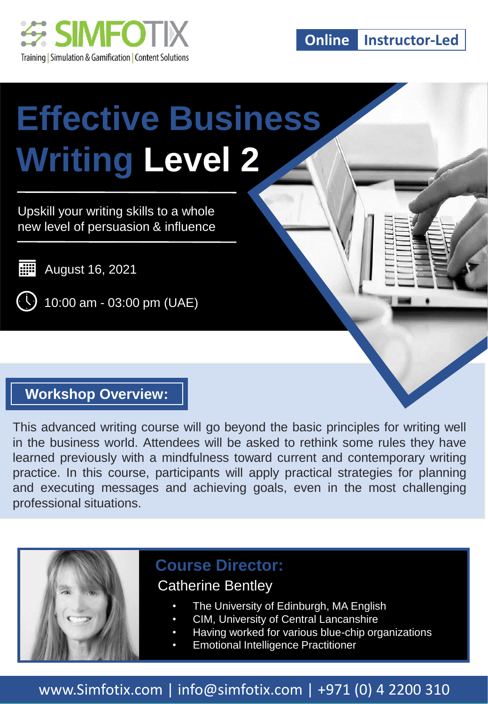

**Online Instructor-Led**

# **Effective Business Writing Level 2**

Upskill your writing skills to a whole new level of persuasion & influence

**WEI** August 16, 2021

 $($   $\setminus$  3 10:00 am - 03:00 pm (UAE)

#### **Workshop Overview:**

This advanced writing course will go beyond the basic principles for writing well in the business world. Attendees will be asked to rethink some rules they have learned previously with a mindfulness toward current and contemporary writing practice. In this course, participants will apply practical strategies for planning and executing messages and achieving goals, even in the most challenging professional situations.



#### **Course Director:**

#### Catherine Bentley

- The University of Edinburgh, MA English
- CIM, University of Central Lancanshire
- Having worked for various blue-chip organizations
- Emotional Intelligence Practitioner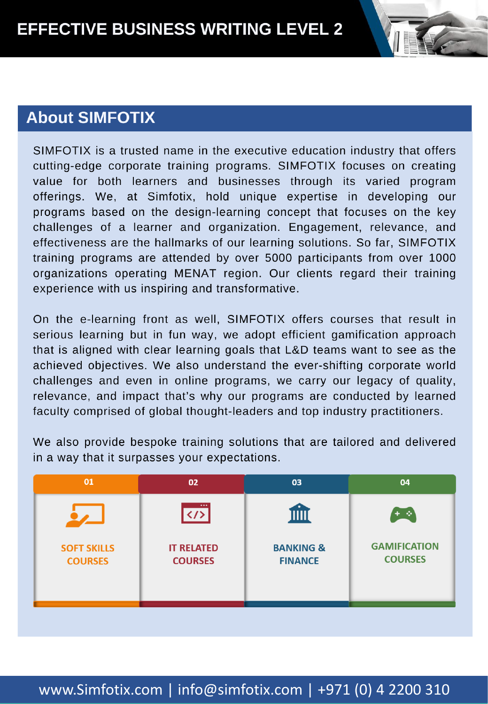#### **About SIMFOTIX**

SIMFOTIX is a trusted name in the executive education industry that offers cutting-edge corporate training programs. SIMFOTIX focuses on creating value for both learners and businesses through its varied program offerings. We, at Simfotix, hold unique expertise in developing our programs based on the design-learning concept that focuses on the key challenges of a learner and organization. Engagement, relevance, and effectiveness are the hallmarks of our learning solutions. So far, SIMFOTIX training programs are attended by over 5000 participants from over 1000 organizations operating MENAT region. Our clients regard their training experience with us inspiring and transformative.

On the e-learning front as well, SIMFOTIX offers courses that result in serious learning but in fun way, we adopt efficient gamification approach that is aligned with clear learning goals that L&D teams want to see as the achieved objectives. We also understand the ever-shifting corporate world challenges and even in online programs, we carry our legacy of quality, relevance, and impact that's why our programs are conducted by learned faculty comprised of global thought-leaders and top industry practitioners.

We also provide bespoke training solutions that are tailored and delivered in a way that it surpasses your expectations.

| 01                                   | 02                                  | 03                                     | 04                                    |
|--------------------------------------|-------------------------------------|----------------------------------------|---------------------------------------|
|                                      | <br>$\langle 1 \rangle$             | Ш                                      | - 6                                   |
| <b>SOFT SKILLS</b><br><b>COURSES</b> | <b>IT RELATED</b><br><b>COURSES</b> | <b>BANKING &amp;</b><br><b>FINANCE</b> | <b>GAMIFICATION</b><br><b>COURSES</b> |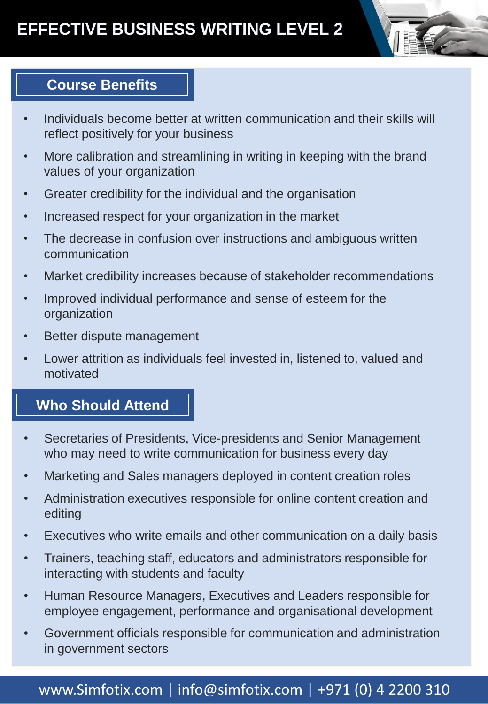# **Course Benefits**

- Individuals become better at written communication and their skills will reflect positively for your business
- More calibration and streamlining in writing in keeping with the brand values of your organization
- Greater credibility for the individual and the organisation
- Increased respect for your organization in the market
- The decrease in confusion over instructions and ambiguous written communication
- Market credibility increases because of stakeholder recommendations
- Improved individual performance and sense of esteem for the organization
- Better dispute management
- Lower attrition as individuals feel invested in, listened to, valued and motivated

#### **Who Should Attend**

- Secretaries of Presidents, Vice-presidents and Senior Management who may need to write communication for business every day
- Marketing and Sales managers deployed in content creation roles
- Administration executives responsible for online content creation and editing
- Executives who write emails and other communication on a daily basis
- Trainers, teaching staff, educators and administrators responsible for interacting with students and faculty
- Human Resource Managers, Executives and Leaders responsible for employee engagement, performance and organisational development
- Government officials responsible for communication and administration in government sectors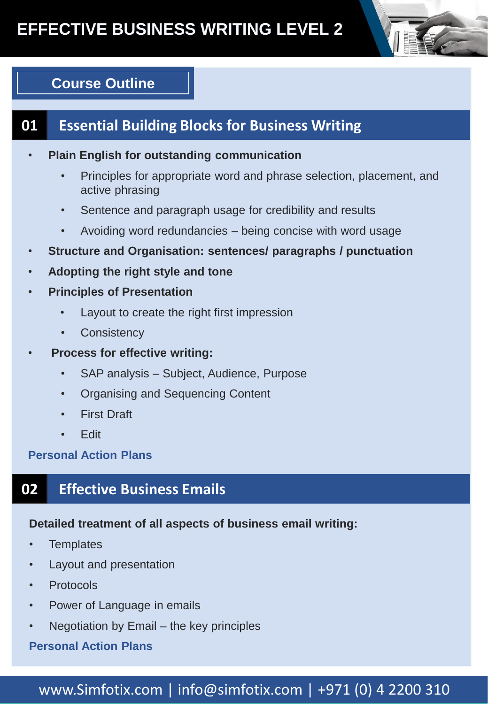

# **Course Outline**

# **01 Essential Building Blocks for Business Writing**

- **Plain English for outstanding communication**
	- Principles for appropriate word and phrase selection, placement, and active phrasing
	- Sentence and paragraph usage for credibility and results
	- Avoiding word redundancies being concise with word usage
- **Structure and Organisation: sentences/ paragraphs / punctuation**
- **Adopting the right style and tone**
- **Principles of Presentation** 
	- Layout to create the right first impression
	- **Consistency**
- **Process for effective writing:**
	- SAP analysis Subject, Audience, Purpose
	- Organising and Sequencing Content
	- **First Draft**
	- Edit

**Personal Action Plans**

# **02 Effective Business Emails**

#### **Detailed treatment of all aspects of business email writing:**

- **Templates**
- Layout and presentation
- **Protocols**
- Power of Language in emails
- Negotiation by Email the key principles

#### **Personal Action Plans**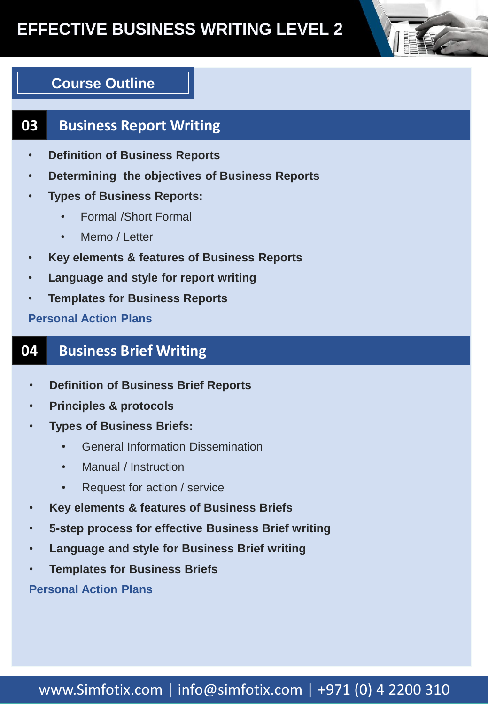# **EFFECTIVE BUSINESS WRITING LEVEL 2**

# **Course Outline**

# **03 Business Report Writing**

- **Definition of Business Reports**
- **Determining the objectives of Business Reports**
- **Types of Business Reports:**
	- Formal /Short Formal
	- Memo / Letter
- **Key elements & features of Business Reports**
- **Language and style for report writing**
- **Templates for Business Reports**

**Personal Action Plans** 

# **04 Business Brief Writing**

- **Definition of Business Brief Reports**
- **Principles & protocols**
- **Types of Business Briefs:**
	- General Information Dissemination
	- Manual / Instruction
	- Request for action / service
- **Key elements & features of Business Briefs**
- **5-step process for effective Business Brief writing**
- **Language and style for Business Brief writing**
- **Templates for Business Briefs**

**Personal Action Plans**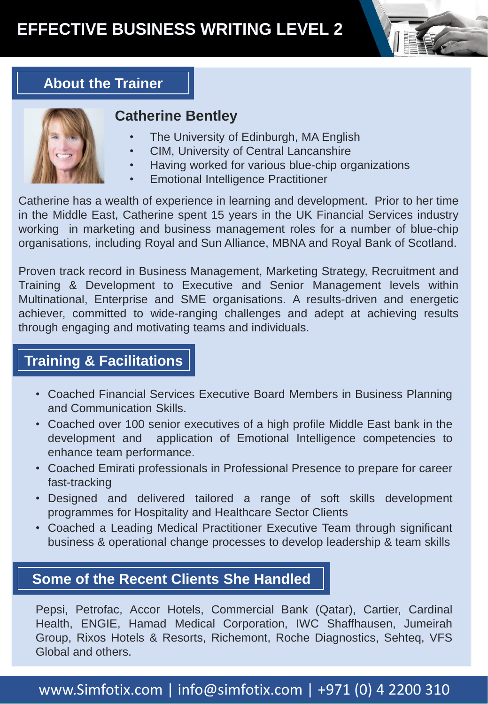

# **About the Trainer**



#### **Catherine Bentley**

- The University of Edinburgh, MA English
- CIM, University of Central Lancanshire
- Having worked for various blue-chip organizations
- Emotional Intelligence Practitioner

Catherine has a wealth of experience in learning and development. Prior to her time in the Middle East, Catherine spent 15 years in the UK Financial Services industry working in marketing and business management roles for a number of blue-chip organisations, including Royal and Sun Alliance, MBNA and Royal Bank of Scotland.

Proven track record in Business Management, Marketing Strategy, Recruitment and Training & Development to Executive and Senior Management levels within Multinational, Enterprise and SME organisations. A results-driven and energetic achiever, committed to wide-ranging challenges and adept at achieving results through engaging and motivating teams and individuals.

#### **Training & Facilitations**

- Coached Financial Services Executive Board Members in Business Planning and Communication Skills.
- Coached over 100 senior executives of a high profile Middle East bank in the development and application of Emotional Intelligence competencies to enhance team performance.
- Coached Emirati professionals in Professional Presence to prepare for career fast-tracking
- Designed and delivered tailored a range of soft skills development programmes for Hospitality and Healthcare Sector Clients
- Coached a Leading Medical Practitioner Executive Team through significant business & operational change processes to develop leadership & team skills

#### **Some of the Recent Clients She Handled**

Pepsi, Petrofac, Accor Hotels, Commercial Bank (Qatar), Cartier, Cardinal Health, ENGIE, Hamad Medical Corporation, IWC Shaffhausen, Jumeirah Group, Rixos Hotels & Resorts, Richemont, Roche Diagnostics, Sehteq, VFS Global and others.